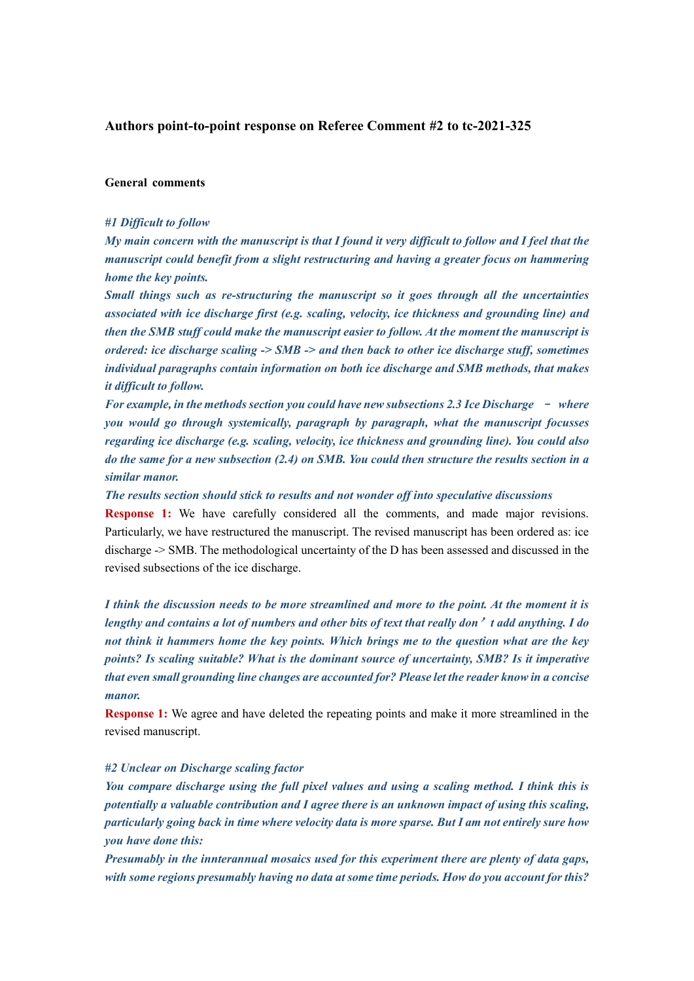## **Authors point-to-point response on Referee Comment #2 to tc-2021-325**

#### **General comments**

### *#1 Difficult to follow*

*My main concern with the manuscript is that I found it very difficult to follow and I feel that the manuscript could benefit from a slight restructuring and having a greater focus on hammering home the key points.*

*Small things such as re-structuring the manuscript so it goes through all the uncertainties associated with ice discharge first (e.g. scaling, velocity, ice thickness and grounding line) and then the SMB stuff could make the manuscript easier to follow. At the moment the manuscript is ordered: ice discharge scaling -> SMB -> and then back to other ice discharge stuff, sometimes individual paragraphs contain information on both ice discharge and SMB methods, that makes it difficult to follow.*

*For example, in the methods section you could have new subsections 2.3 Ice Discharge - where you would go through systemically, paragraph by paragraph, what the manuscript focusses regarding ice discharge (e.g. scaling, velocity, ice thickness and grounding line). You could also do the same for a new subsection (2.4) on SMB. You could then structure the results section in a similar manor.*

*The results section should stick to results and not wonder off into speculative discussions*

**Response 1:** We have carefully considered all the comments, and made major revisions. Particularly, we have restructured the manuscript. The revised manuscript has been ordered as: ice discharge -> SMB. The methodological uncertainty of the D has been assessed and discussed in the revised subsections of the ice discharge.

*I think the discussion needs to be more streamlined and more to the point. At the moment it is lengthy and contains a lot of numbers and other bits of text that really don*'*t add anything. I do not think it hammers home the key points. Which brings me to the question what are the key points? Is scaling suitable? What is the dominant source of uncertainty, SMB? Is it imperative that even small grounding line changes are accounted for? Please let the reader know in a concise manor.*

**Response 1:** We agree and have deleted the repeating points and make it more streamlined in the revised manuscript.

### *#2 Unclear on Discharge scaling factor*

*You compare discharge using the full pixel values and using a scaling method. I think this is potentially a valuable contribution and I agree there is an unknown impact of using this scaling, particularly going back in time where velocity data is more sparse. But I am not entirely sure how you have done this:*

*Presumably in the innterannual mosaics used for this experiment there are plenty of data gaps, with some regions presumably having no data at some time periods. How do you account for this?*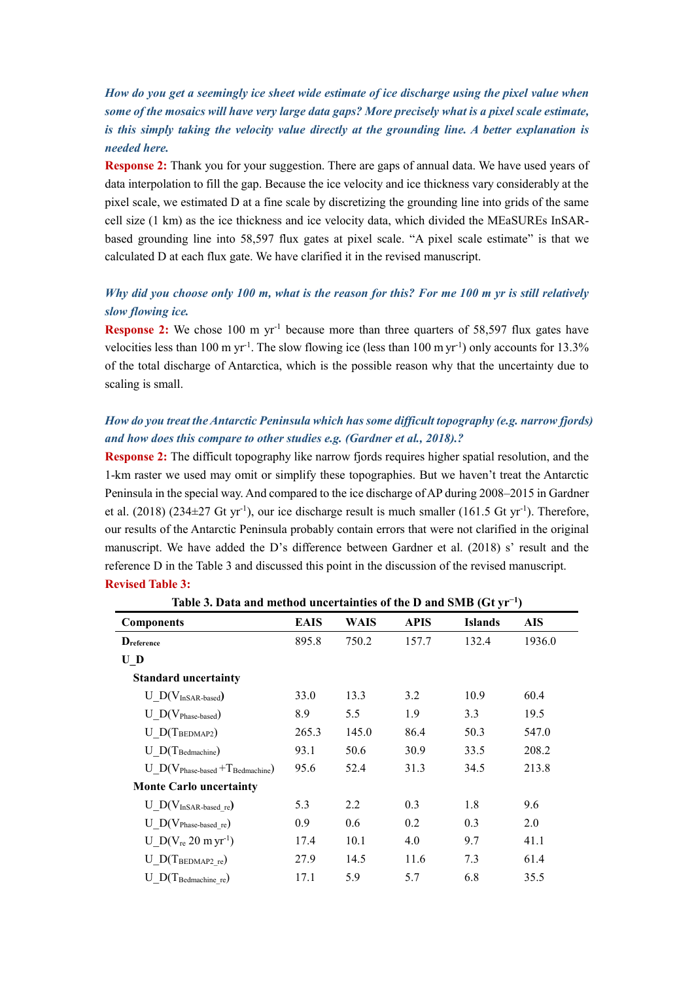# *How do you get a seemingly ice sheet wide estimate of ice discharge using the pixel value when some of the mosaics will have very large data gaps? More precisely what is a pixel scale estimate, is this simply taking the velocity value directly at the grounding line. A better explanation is needed here.*

**Response 2:** Thank you for your suggestion. There are gaps of annual data. We have used years of data interpolation to fill the gap. Because the ice velocity and ice thickness vary considerably at the pixel scale, we estimated D at a fine scale by discretizing the grounding line into grids of the same cell size (1 km) as the ice thickness and ice velocity data, which divided the MEaSUREs InSARbased grounding line into 58,597 flux gates at pixel scale. "A pixel scale estimate" is that we calculated D at each flux gate. We have clarified it in the revised manuscript.

## *Why did you choose only 100 m, what is the reason for this? For me 100 m yr is still relatively slow flowing ice.*

**Response 2:** We chose 100 m yr<sup>-1</sup> because more than three quarters of 58,597 flux gates have velocities less than 100 m yr<sup>-1</sup>. The slow flowing ice (less than 100 m yr<sup>-1</sup>) only accounts for 13.3% of the total discharge of Antarctica, which is the possible reason why that the uncertainty due to scaling is small.

# *How do you treat the Antarctic Peninsula which has some difficult topography (e.g. narrow fjords) and how does this compare to other studies e.g. (Gardner et al., 2018).?*

**Response 2:** The difficult topography like narrow fjords requires higher spatial resolution, and the 1-km raster we used may omit or simplify these topographies. But we haven't treat the Antarctic Peninsula in the special way. And compared to the ice discharge of AP during 2008–2015 in Gardner et al. (2018) (234±27 Gt yr<sup>-1</sup>), our ice discharge result is much smaller (161.5 Gt yr<sup>-1</sup>). Therefore, our results of the Antarctic Peninsula probably contain errors that were not clarified in the original manuscript. We have added the D's difference between Gardner et al. (2018) s' result and the reference D in the Table 3 and discussed this point in the discussion of the revised manuscript. **Revised Table 3:**

| Table 3. Data and method uncertainties of the D and SMB $(Gt yr^{-1})$ |             |       |             |                |            |  |  |  |
|------------------------------------------------------------------------|-------------|-------|-------------|----------------|------------|--|--|--|
| <b>Components</b>                                                      | <b>EAIS</b> | WAIS  | <b>APIS</b> | <b>Islands</b> | <b>AIS</b> |  |  |  |
| Dreference                                                             | 895.8       | 750.2 | 157.7       | 132.4          | 1936.0     |  |  |  |
| $\mathbf{U}$ D                                                         |             |       |             |                |            |  |  |  |
| <b>Standard uncertainty</b>                                            |             |       |             |                |            |  |  |  |
| $U$ $D(V_{InSAR-based})$                                               | 33.0        | 13.3  | 3.2         | 10.9           | 60.4       |  |  |  |
| $U_D(V_{Phase-based})$                                                 | 8.9         | 5.5   | 1.9         | 3.3            | 19.5       |  |  |  |
| $U$ D(T <sub>BEDMAP2</sub> )                                           | 265.3       | 145.0 | 86.4        | 50.3           | 547.0      |  |  |  |
| $U$ D(T <sub>Bedmachine</sub> )                                        | 93.1        | 50.6  | 30.9        | 33.5           | 208.2      |  |  |  |
| U $D(V_{Phase-based} + T_{Bedmachine})$                                | 95.6        | 52.4  | 31.3        | 34.5           | 213.8      |  |  |  |
| <b>Monte Carlo uncertainty</b>                                         |             |       |             |                |            |  |  |  |
| $U_D(V_{InSAR-based\;re})$                                             | 5.3         | 2.2   | 0.3         | 1.8            | 9.6        |  |  |  |
| $U D(V_{Phase-based re})$                                              | 0.9         | 0.6   | 0.2         | 0.3            | 2.0        |  |  |  |
| U $D(V_{re} 20 \text{ m yr}^{-1})$                                     | 17.4        | 10.1  | 4.0         | 9.7            | 41.1       |  |  |  |
| $U_{D(T_{BEDMAP2re})$                                                  | 27.9        | 14.5  | 11.6        | 7.3            | 61.4       |  |  |  |
| $U$ $D(T_{\text{Bedmachine_re}})$                                      | 17.1        | 5.9   | 5.7         | 6.8            | 35.5       |  |  |  |

**Table 3. Data and method uncertainties of the D and SMB (Gt yr<sup>−</sup><sup>1</sup>**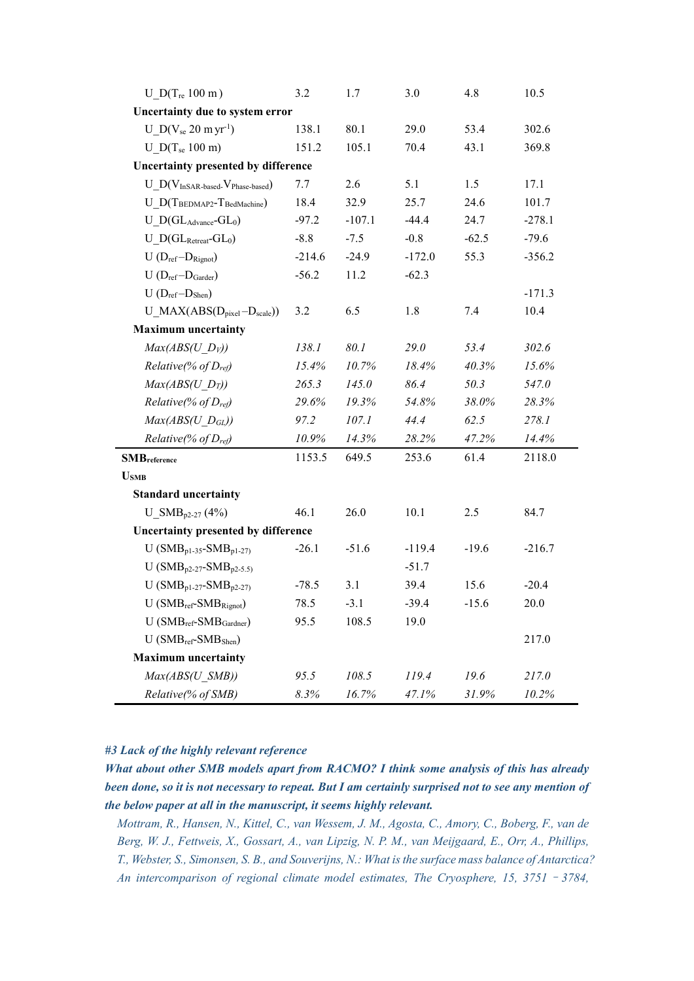| U $D(T_{re} 100 m)$                            | 3.2      | 1.7      | 3.0      | 4.8     | 10.5     |  |  |  |  |
|------------------------------------------------|----------|----------|----------|---------|----------|--|--|--|--|
| Uncertainty due to system error                |          |          |          |         |          |  |  |  |  |
| $U_D(V_{se} 20 \text{ m yr}^{-1})$             | 138.1    | 80.1     | 29.0     | 53.4    | 302.6    |  |  |  |  |
| U $D(T_{se} 100 \text{ m})$                    | 151.2    | 105.1    | 70.4     | 43.1    | 369.8    |  |  |  |  |
| Uncertainty presented by difference            |          |          |          |         |          |  |  |  |  |
| $U_D(V_{InSAR-based}$ . V Phase-based)         | 7.7      | 2.6      | 5.1      | 1.5     | 17.1     |  |  |  |  |
| $U_{D}$ (TBEDMAP2-TBedMachine)                 | 18.4     | 32.9     | 25.7     | 24.6    | 101.7    |  |  |  |  |
| $U\_D(GL_{Advance}-GL_0)$                      | $-97.2$  | $-107.1$ | $-44.4$  | 24.7    | $-278.1$ |  |  |  |  |
| $U$ D(GL <sub>Retreat</sub> -GL <sub>0</sub> ) | $-8.8$   | $-7.5$   | $-0.8$   | $-62.5$ | $-79.6$  |  |  |  |  |
| $U(D_{ref}-D_{Right})$                         | $-214.6$ | $-24.9$  | $-172.0$ | 55.3    | $-356.2$ |  |  |  |  |
| $U(D_{ref}-D_{Garder})$                        | $-56.2$  | 11.2     | $-62.3$  |         |          |  |  |  |  |
| $U(D_{ref}-D_{Shen})$                          |          |          |          |         | $-171.3$ |  |  |  |  |
| $U_{\text{MAX}}(ABS(D_{pixel}-D_{scale}))$     | 3.2      | 6.5      | 1.8      | 7.4     | 10.4     |  |  |  |  |
| <b>Maximum</b> uncertainty                     |          |          |          |         |          |  |  |  |  |
| $Max(ABS(U D_V))$                              | 138.1    | 80.1     | 29.0     | 53.4    | 302.6    |  |  |  |  |
| Relative(% of $D_{ref}$ )                      | 15.4%    | 10.7%    | 18.4%    | 40.3%   | 15.6%    |  |  |  |  |
| $Max(ABS(U D_T))$                              | 265.3    | 145.0    | 86.4     | 50.3    | 547.0    |  |  |  |  |
| Relative(% of $D_{ref}$ )                      | 29.6%    | 19.3%    | 54.8%    | 38.0%   | 28.3%    |  |  |  |  |
| $Max(ABS(U_D_{GL}))$                           | 97.2     | 107.1    | 44.4     | 62.5    | 278.1    |  |  |  |  |
| <i>Relative</i> (% of $D_{ref}$ )              | 10.9%    | 14.3%    | 28.2%    | 47.2%   | 14.4%    |  |  |  |  |
| <b>SMB</b> reference                           | 1153.5   | 649.5    | 253.6    | 61.4    | 2118.0   |  |  |  |  |
| <b>U</b> SMB                                   |          |          |          |         |          |  |  |  |  |
| <b>Standard uncertainty</b>                    |          |          |          |         |          |  |  |  |  |
| $U_{\_SMB_{p2-27}}(4%)$                        | 46.1     | 26.0     | 10.1     | 2.5     | 84.7     |  |  |  |  |
| Uncertainty presented by difference            |          |          |          |         |          |  |  |  |  |
| $U(SMB_{p1-35}-SMB_{p1-27})$                   | $-26.1$  | $-51.6$  | $-119.4$ | $-19.6$ | $-216.7$ |  |  |  |  |
| U ( $SMB_{p2-27}$ - $SMB_{p2-5.5}$ )           |          |          | $-51.7$  |         |          |  |  |  |  |
| $U(SMB_{p1-27}-SMB_{p2-27})$                   | $-78.5$  | 3.1      | 39.4     | 15.6    | $-20.4$  |  |  |  |  |
| $U(SMB_{ref}-SMB_{Right})$                     | 78.5     | $-3.1$   | $-39.4$  | $-15.6$ | 20.0     |  |  |  |  |
| $U(SMB_{ref}-SMB_{Gardner})$                   | 95.5     | 108.5    | 19.0     |         |          |  |  |  |  |
| $U(SMB_{ref}-SMB_{Shen})$                      |          |          |          |         | 217.0    |  |  |  |  |
| <b>Maximum</b> uncertainty                     |          |          |          |         |          |  |  |  |  |
| Max(ABS(U SMB))                                | 95.5     | 108.5    | 119.4    | 19.6    | 217.0    |  |  |  |  |
| Relative(% of SMB)                             | 8.3%     | 16.7%    | 47.1%    | 31.9%   | 10.2%    |  |  |  |  |

## *#3 Lack of the highly relevant reference*

*What about other SMB models apart from RACMO? I think some analysis of this has already been done, so it is not necessary to repeat. But I am certainly surprised not to see any mention of the below paper at all in the manuscript, it seems highly relevant.*

*Mottram, R., Hansen, N., Kittel, C., van Wessem, J. M., Agosta, C., Amory, C., Boberg, F., van de Berg, W. J., Fettweis, X., Gossart, A., van Lipzig, N. P. M., van Meijgaard, E., Orr, A., Phillips, T., Webster, S., Simonsen, S. B., and Souverijns, N.: What is the surface mass balance of Antarctica? An intercomparison of regional climate model estimates, The Cryosphere, 15, 3751*–*3784,*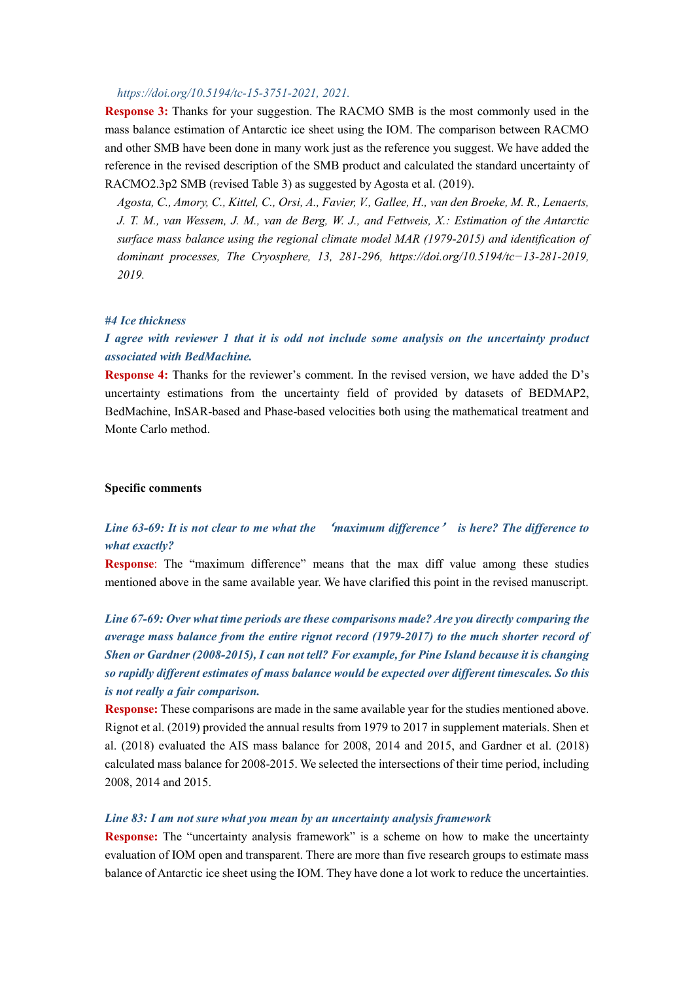### *https://doi.org/10.5194/tc-15-3751-2021, 2021.*

**Response 3:** Thanks for your suggestion. The RACMO SMB is the most commonly used in the mass balance estimation of Antarctic ice sheet using the IOM. The comparison between RACMO and other SMB have been done in many work just as the reference you suggest. We have added the reference in the revised description of the SMB product and calculated the standard uncertainty of RACMO2.3p2 SMB (revised Table 3) as suggested by Agosta et al. (2019).

*Agosta, C., Amory, C., Kittel, C., Orsi, A., Favier, V., Gallee, H., van den Broeke, M. R., Lenaerts, J. T. M., van Wessem, J. M., van de Berg, W. J., and Fettweis, X.: Estimation of the Antarctic surface mass balance using the regional climate model MAR (1979-2015) and identification of dominant processes, The Cryosphere, 13, 281-296, https://doi.org/10.5194/tc−13-281-2019, 2019.*

### *#4 Ice thickness*

## *I agree with reviewer 1 that it is odd not include some analysis on the uncertainty product associated with BedMachine.*

**Response 4:** Thanks for the reviewer's comment. In the revised version, we have added the D's uncertainty estimations from the uncertainty field of provided by datasets of BEDMAP2, BedMachine, InSAR-based and Phase-based velocities both using the mathematical treatment and Monte Carlo method.

## **Specific comments**

# *Line 63-69: It is not clear to me what the* '*maximum difference*' *is here? The difference to what exactly?*

**Response**: The "maximum difference" means that the max diff value among these studies mentioned above in the same available year. We have clarified this point in the revised manuscript.

*Line 67-69: Over what time periods are these comparisons made? Are you directly comparing the average mass balance from the entire rignot record (1979-2017) to the much shorter record of Shen or Gardner (2008-2015), I can not tell? For example, for Pine Island because it is changing so rapidly different estimates of mass balance would be expected over different timescales. So this is not really a fair comparison.*

**Response:** These comparisons are made in the same available year for the studies mentioned above. Rignot et al. (2019) provided the annual results from 1979 to 2017 in supplement materials. Shen et al. (2018) evaluated the AIS mass balance for 2008, 2014 and 2015, and Gardner et al. (2018) calculated mass balance for 2008-2015. We selected the intersections of their time period, including 2008, 2014 and 2015.

### *Line 83: I am not sure what you mean by an uncertainty analysis framework*

**Response:** The "uncertainty analysis framework" is a scheme on how to make the uncertainty evaluation of IOM open and transparent. There are more than five research groups to estimate mass balance of Antarctic ice sheet using the IOM. They have done a lot work to reduce the uncertainties.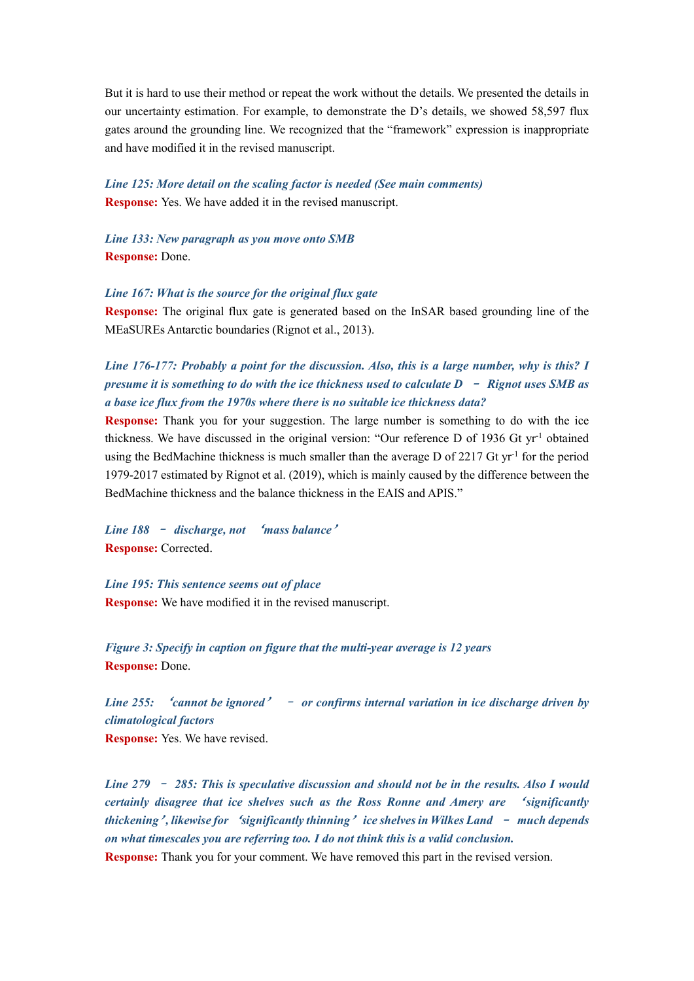But it is hard to use their method or repeat the work without the details. We presented the details in our uncertainty estimation. For example, to demonstrate the D's details, we showed 58,597 flux gates around the grounding line. We recognized that the "framework" expression is inappropriate and have modified it in the revised manuscript.

*Line 125: More detail on the scaling factor is needed (See main comments)* **Response:** Yes. We have added it in the revised manuscript.

*Line 133: New paragraph as you move onto SMB* **Response:** Done.

*Line 167: What is the source for the original flux gate*

**Response:** The original flux gate is generated based on the InSAR based grounding line of the MEaSUREs Antarctic boundaries (Rignot et al., 2013).

*Line 176-177: Probably a point for the discussion. Also, this is a large number, why is this? I presume it is something to do with the ice thickness used to calculate D* – *Rignot uses SMB as a base ice flux from the 1970s where there is no suitable ice thickness data?*

**Response:** Thank you for your suggestion. The large number is something to do with the ice thickness. We have discussed in the original version: "Our reference D of 1936 Gt yr<sup>-1</sup> obtained using the BedMachine thickness is much smaller than the average D of 2217 Gt  $yr^{-1}$  for the period 1979-2017 estimated by Rignot et al. (2019), which is mainly caused by the difference between the BedMachine thickness and the balance thickness in the EAIS and APIS."

*Line 188* – *discharge, not* '*mass balance*' **Response:** Corrected.

*Line 195: This sentence seems out of place* **Response:** We have modified it in the revised manuscript.

*Figure 3: Specify in caption on figure that the multi-year average is 12 years* **Response:** Done.

*Line 255:* '*cannot be ignored*' – *or confirms internal variation in ice discharge driven by climatological factors* **Response:** Yes. We have revised.

*Line 279* – *285: This is speculative discussion and should not be in the results. Also I would certainly disagree that ice shelves such as the Ross Ronne and Amery are* '*significantly thickening*'*, likewise for* '*significantly thinning*'*ice shelves in Wilkes Land* – *much depends on what timescales you are referring too. I do not think this is a valid conclusion.* **Response:** Thank you for your comment. We have removed this part in the revised version.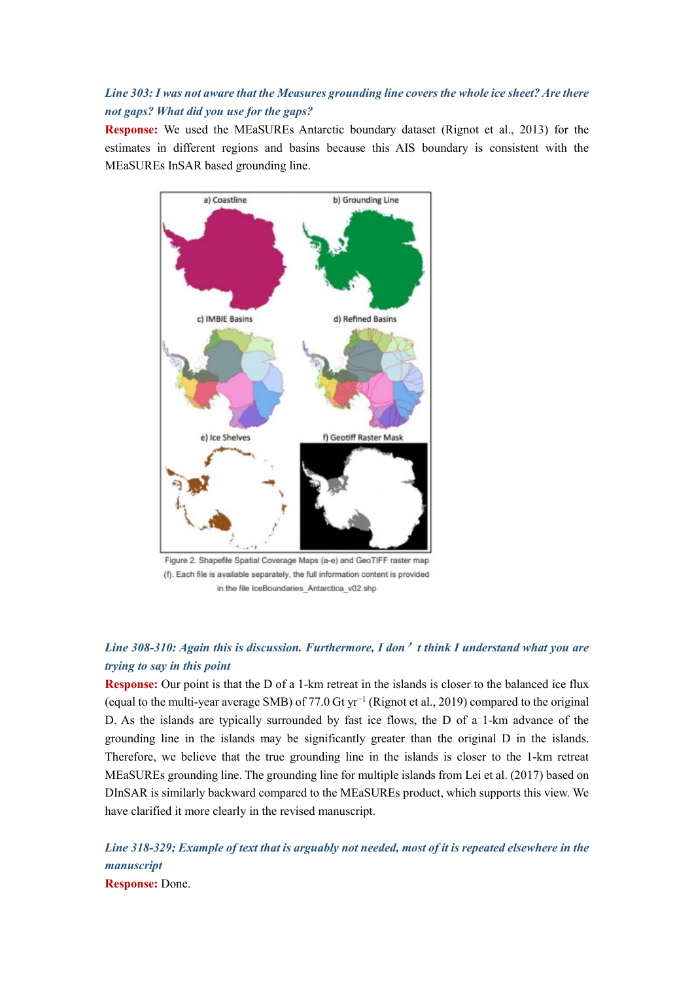# *Line 303: I was not aware that the Measures grounding line covers the whole ice sheet? Are there not gaps? What did you use for the gaps?*

**Response:** We used the MEaSUREs Antarctic boundary dataset (Rignot et al., 2013) for the estimates in different regions and basins because this AIS boundary is consistent with the MEaSUREs InSAR based grounding line.



(f). Each file is available separately, the full information content is provided in the file IceBoundaries\_Antarctica\_v02.shp

# *Line 308-310: Again this is discussion. Furthermore, I don*'*t think I understand what you are trying to say in this point*

**Response:** Our point is that the D of a 1-km retreat in the islands is closer to the balanced ice flux (equal to the multi-year average SMB) of 77.0 Gt yr<sup>−</sup><sup>1</sup> (Rignot et al., 2019) compared to the original D. As the islands are typically surrounded by fast ice flows, the D of a 1-km advance of the grounding line in the islands may be significantly greater than the original D in the islands. Therefore, we believe that the true grounding line in the islands is closer to the 1-km retreat MEaSUREs grounding line. The grounding line for multiple islands from Lei et al. (2017) based on DInSAR is similarly backward compared to the MEaSUREs product, which supports this view. We have clarified it more clearly in the revised manuscript.

*Line 318-329; Example of text that is arguably not needed, most of it is repeated elsewhere in the manuscript* **Response:** Done.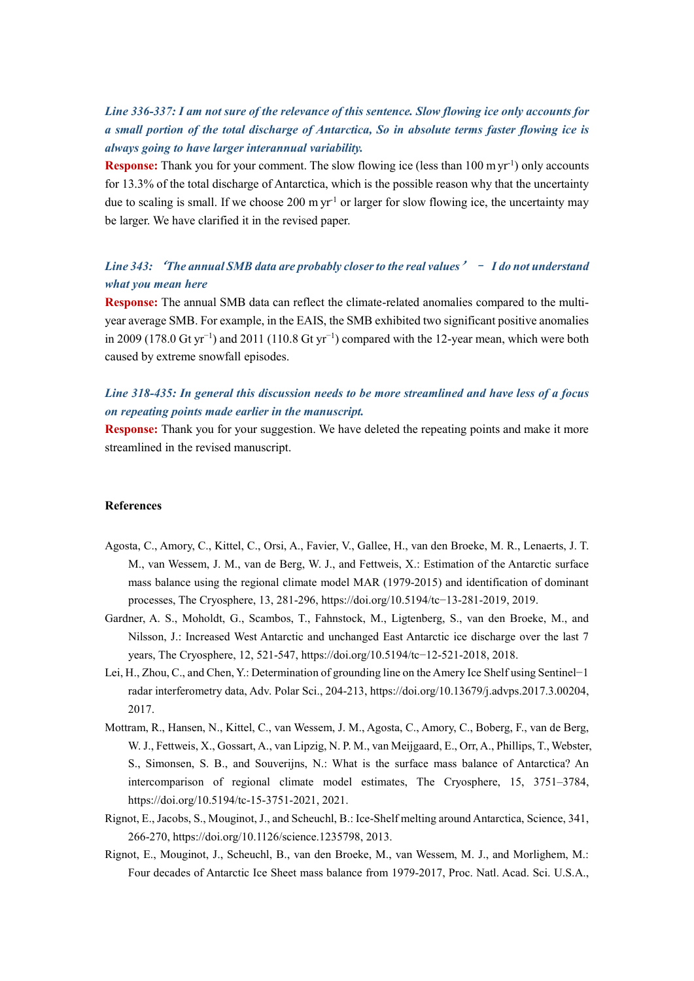# *Line 336-337: I am not sure of the relevance of this sentence. Slow flowing ice only accounts for a small portion of the total discharge of Antarctica, So in absolute terms faster flowing ice is always going to have larger interannual variability.*

**Response:** Thank you for your comment. The slow flowing ice (less than 100 myr<sup>1</sup>) only accounts for 13.3% of the total discharge of Antarctica, which is the possible reason why that the uncertainty due to scaling is small. If we choose 200 m  $yr^{-1}$  or larger for slow flowing ice, the uncertainty may be larger. We have clarified it in the revised paper.

# *Line 343:* '*The annual SMB data are probably closer to the real values*'– *I do not understand what you mean here*

**Response:** The annual SMB data can reflect the climate-related anomalies compared to the multiyear average SMB. For example, in the EAIS, the SMB exhibited two significant positive anomalies in 2009 (178.0 Gt yr<sup>−</sup><sup>1</sup> ) and 2011 (110.8 Gt yr<sup>−</sup><sup>1</sup> ) compared with the 12-year mean, which were both caused by extreme snowfall episodes.

# *Line 318-435: In general this discussion needs to be more streamlined and have less of a focus on repeating points made earlier in the manuscript.*

**Response:** Thank you for your suggestion. We have deleted the repeating points and make it more streamlined in the revised manuscript.

#### **References**

- Agosta, C., Amory, C., Kittel, C., Orsi, A., Favier, V., Gallee, H., van den Broeke, M. R., Lenaerts, J. T. M., van Wessem, J. M., van de Berg, W. J., and Fettweis, X.: Estimation of the Antarctic surface mass balance using the regional climate model MAR (1979-2015) and identification of dominant processes, The Cryosphere, 13, 281-296, https://doi.org/10.5194/tc−13-281-2019, 2019.
- Gardner, A. S., Moholdt, G., Scambos, T., Fahnstock, M., Ligtenberg, S., van den Broeke, M., and Nilsson, J.: Increased West Antarctic and unchanged East Antarctic ice discharge over the last 7 years, The Cryosphere, 12, 521-547, https://doi.org/10.5194/tc−12-521-2018, 2018.
- Lei, H., Zhou, C., and Chen, Y.: Determination of grounding line on the Amery Ice Shelf using Sentinel−1 radar interferometry data, Adv. Polar Sci., 204-213, https://doi.org/10.13679/j.advps.2017.3.00204, 2017.
- Mottram, R., Hansen, N., Kittel, C., van Wessem, J. M., Agosta, C., Amory, C., Boberg, F., van de Berg, W. J., Fettweis, X., Gossart, A., van Lipzig, N. P. M., van Meijgaard, E., Orr, A., Phillips, T., Webster, S., Simonsen, S. B., and Souverijns, N.: What is the surface mass balance of Antarctica? An intercomparison of regional climate model estimates, The Cryosphere, 15, 3751–3784, https://doi.org/10.5194/tc-15-3751-2021, 2021.
- Rignot, E., Jacobs, S., Mouginot, J., and Scheuchl, B.: Ice-Shelf melting around Antarctica, Science, 341, 266-270, https://doi.org/10.1126/science.1235798, 2013.
- Rignot, E., Mouginot, J., Scheuchl, B., van den Broeke, M., van Wessem, M. J., and Morlighem, M.: Four decades of Antarctic Ice Sheet mass balance from 1979-2017, Proc. Natl. Acad. Sci. U.S.A.,